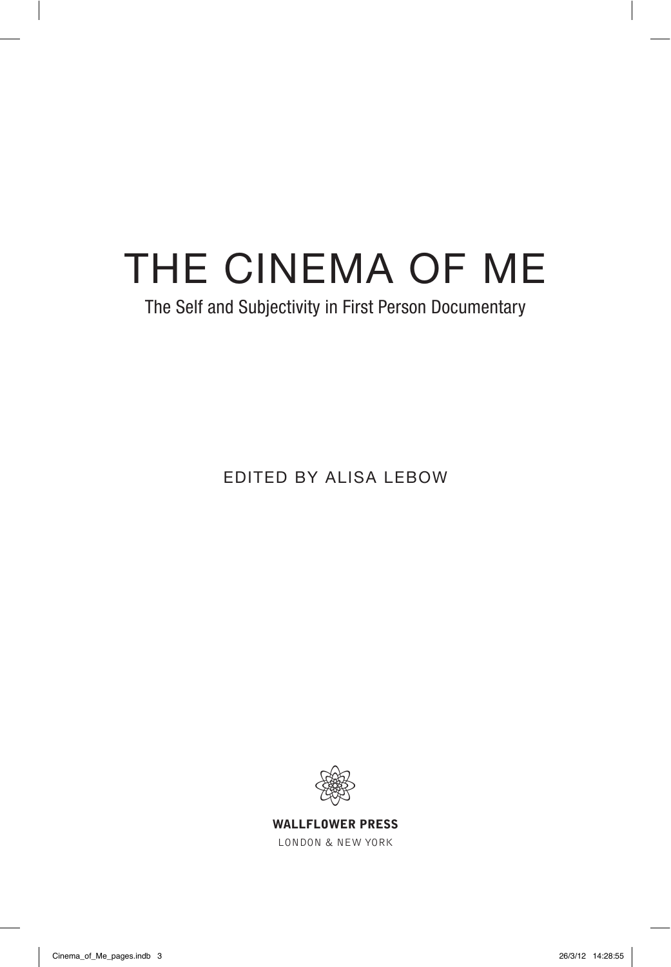The Self and Subjectivity in First Person Documentary

EDITED BY ALISA LEBOW



WALLFLOWER PRESS LONDON & NEW YORK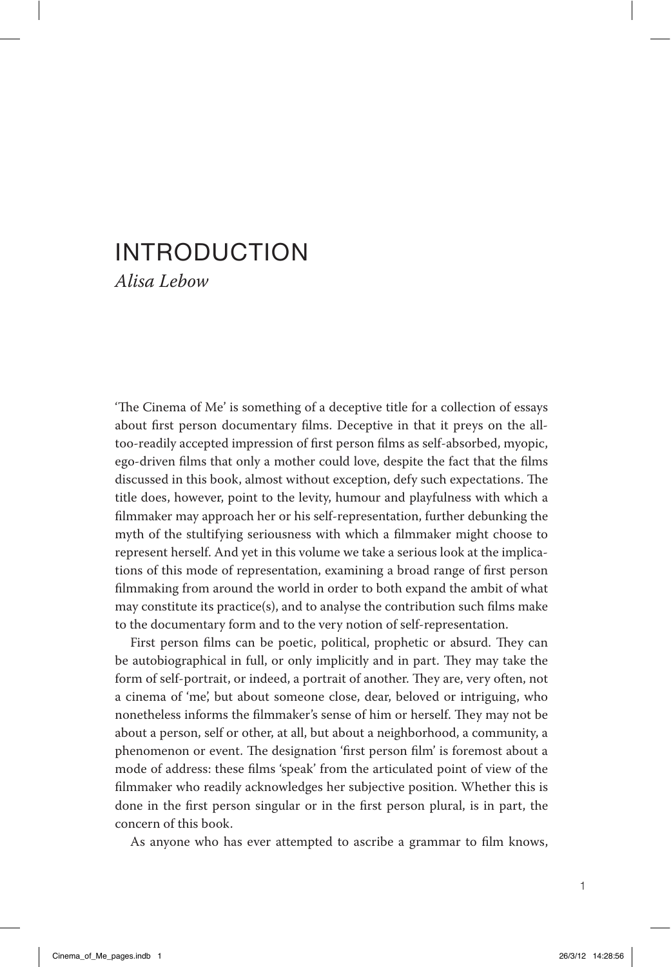# INTRODUCTION Alisa Lebow

'The Cinema of Me' is something of a deceptive title for a collection of essays about first person documentary films. Deceptive in that it preys on the alltoo-readily accepted impression of first person films as self-absorbed, myopic, ego-driven films that only a mother could love, despite the fact that the films discussed in this book, almost without exception, defy such expectations. The title does, however, point to the levity, humour and playfulness with which a filmmaker may approach her or his self-representation, further debunking the myth of the stultifying seriousness with which a filmmaker might choose to represent herself. And yet in this volume we take a serious look at the implications of this mode of representation, examining a broad range of first person filmmaking from around the world in order to both expand the ambit of what may constitute its practice(s), and to analyse the contribution such films make to the documentary form and to the very notion of self-representation.

First person films can be poetic, political, prophetic or absurd. They can be autobiographical in full, or only implicitly and in part. They may take the form of self-portrait, or indeed, a portrait of another. They are, very often, not a cinema of 'me', but about someone close, dear, beloved or intriguing, who nonetheless informs the filmmaker's sense of him or herself. They may not be about a person, self or other, at all, but about a neighborhood, a community, a phenomenon or event. The designation 'first person film' is foremost about a mode of address: these films 'speak' from the articulated point of view of the filmmaker who readily acknowledges her subjective position. Whether this is done in the first person singular or in the first person plural, is in part, the concern of this book.

As anyone who has ever attempted to ascribe a grammar to film knows,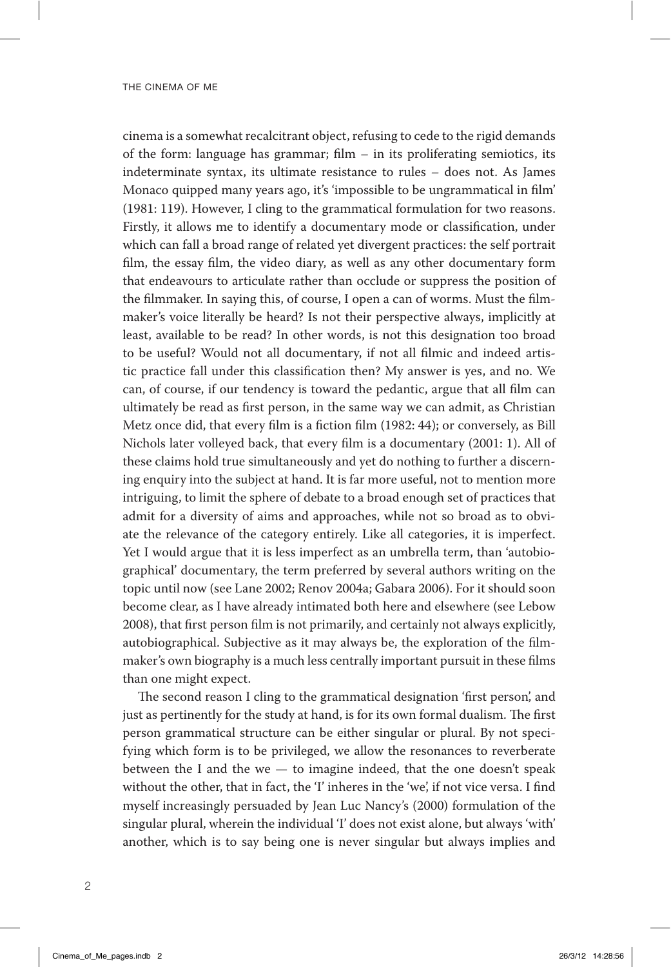cinema is a somewhat recalcitrant object, refusing to cede to the rigid demands of the form: language has grammar; film  $-$  in its proliferating semiotics, its indeterminate syntax, its ultimate resistance to rules – does not. As James Monaco quipped many years ago, it's 'impossible to be ungrammatical in film' (1981: 119). However, I cling to the grammatical formulation for two reasons. Firstly, it allows me to identify a documentary mode or classification, under which can fall a broad range of related yet divergent practices: the self portrait film, the essay film, the video diary, as well as any other documentary form that endeavours to articulate rather than occlude or suppress the position of the filmmaker. In saying this, of course, I open a can of worms. Must the filmmaker's voice literally be heard? Is not their perspective always, implicitly at least, available to be read? In other words, is not this designation too broad to be useful? Would not all documentary, if not all filmic and indeed artistic practice fall under this classification then? My answer is yes, and no. We can, of course, if our tendency is toward the pedantic, argue that all film can ultimately be read as first person, in the same way we can admit, as Christian Metz once did, that every film is a fiction film (1982: 44); or conversely, as Bill Nichols later volleyed back, that every film is a documentary (2001: 1). All of these claims hold true simultaneously and yet do nothing to further a discerning enquiry into the subject at hand. It is far more useful, not to mention more intriguing, to limit the sphere of debate to a broad enough set of practices that admit for a diversity of aims and approaches, while not so broad as to obviate the relevance of the category entirely. Like all categories, it is imperfect. Yet I would argue that it is less imperfect as an umbrella term, than 'autobiographical' documentary, the term preferred by several authors writing on the topic until now (see Lane 2002; Renov 2004a; Gabara 2006). For it should soon become clear, as I have already intimated both here and elsewhere (see Lebow 2008), that first person film is not primarily, and certainly not always explicitly, autobiographical. Subjective as it may always be, the exploration of the filmmaker's own biography is a much less centrally important pursuit in these films than one might expect.

The second reason I cling to the grammatical designation 'first person', and just as pertinently for the study at hand, is for its own formal dualism. The first person grammatical structure can be either singular or plural. By not specifying which form is to be privileged, we allow the resonances to reverberate between the I and the we  $-$  to imagine indeed, that the one doesn't speak without the other, that in fact, the 'I' inheres in the 'we', if not vice versa. I find myself increasingly persuaded by Jean Luc Nancy's (2000) formulation of the singular plural, wherein the individual 'I' does not exist alone, but always 'with' another, which is to say being one is never singular but always implies and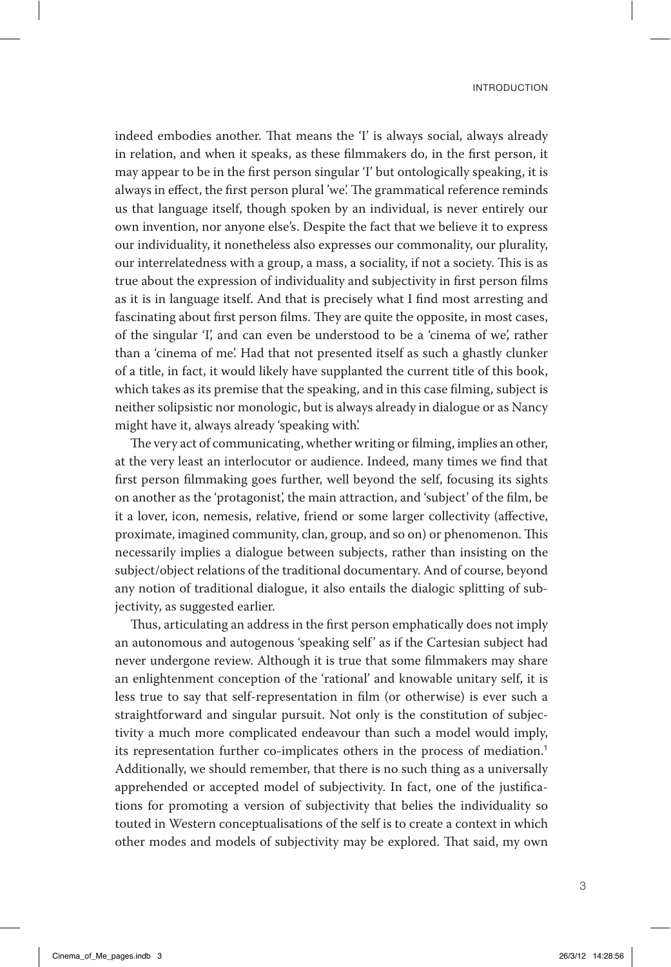indeed embodies another. That means the 'I' is always social, always already in relation, and when it speaks, as these filmmakers do, in the first person, it may appear to be in the first person singular 'I' but ontologically speaking, it is always in effect, the first person plural 'we'. The grammatical reference reminds us that language itself, though spoken by an individual, is never entirely our own invention, nor anyone else's. Despite the fact that we believe it to express our individuality, it nonetheless also expresses our commonality, our plurality, our interrelatedness with a group, a mass, a sociality, if not a society. This is as true about the expression of individuality and subjectivity in first person films as it is in language itself. And that is precisely what I find most arresting and fascinating about first person films. They are quite the opposite, in most cases, of the singular 'I', and can even be understood to be a 'cinema of we', rather than a 'cinema of me'. Had that not presented itself as such a ghastly clunker of a title, in fact, it would likely have supplanted the current title of this book, which takes as its premise that the speaking, and in this case filming, subject is neither solipsistic nor monologic, but is always already in dialogue or as Nancy might have it, always already 'speaking with'.

The very act of communicating, whether writing or filming, implies an other, at the very least an interlocutor or audience. Indeed, many times we find that first person filmmaking goes further, well beyond the self, focusing its sights on another as the 'protagonist', the main attraction, and 'subject' of the film, be it a lover, icon, nemesis, relative, friend or some larger collectivity (affective, proximate, imagined community, clan, group, and so on) or phenomenon. This necessarily implies a dialogue between subjects, rather than insisting on the subject/object relations of the traditional documentary. And of course, beyond any notion of traditional dialogue, it also entails the dialogic splitting of subjectivity, as suggested earlier.

Thus, articulating an address in the first person emphatically does not imply an autonomous and autogenous 'speaking self' as if the Cartesian subject had never undergone review. Although it is true that some filmmakers may share an enlightenment conception of the 'rational' and knowable unitary self, it is less true to say that self-representation in film (or otherwise) is ever such a straightforward and singular pursuit. Not only is the constitution of subjectivity a much more complicated endeavour than such a model would imply, its representation further co-implicates others in the process of mediation.<sup>1</sup> Additionally, we should remember, that there is no such thing as a universally apprehended or accepted model of subjectivity. In fact, one of the justifications for promoting a version of subjectivity that belies the individuality so touted in Western conceptualisations of the self is to create a context in which other modes and models of subjectivity may be explored. That said, my own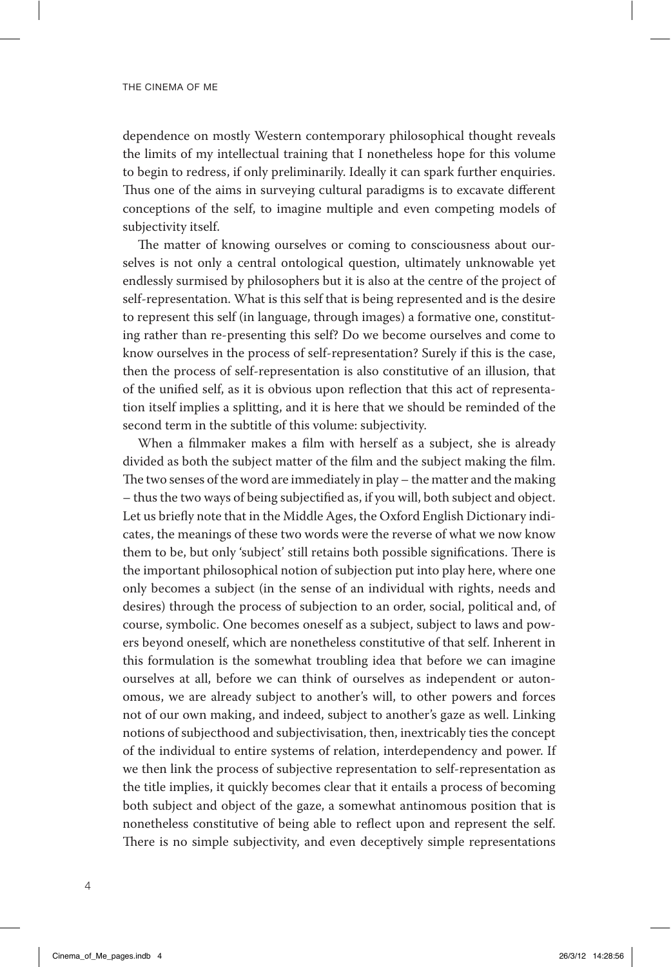dependence on mostly Western contemporary philosophical thought reveals the limits of my intellectual training that I nonetheless hope for this volume to begin to redress, if only preliminarily. Ideally it can spark further enquiries. Thus one of the aims in surveying cultural paradigms is to excavate different conceptions of the self, to imagine multiple and even competing models of subjectivity itself.

The matter of knowing ourselves or coming to consciousness about ourselves is not only a central ontological question, ultimately unknowable yet endlessly surmised by philosophers but it is also at the centre of the project of self-representation. What is this self that is being represented and is the desire to represent this self (in language, through images) a formative one, constituting rather than re-presenting this self? Do we become ourselves and come to know ourselves in the process of self-representation? Surely if this is the case, then the process of self-representation is also constitutive of an illusion, that of the unified self, as it is obvious upon reflection that this act of representation itself implies a splitting, and it is here that we should be reminded of the second term in the subtitle of this volume: subjectivity.

When a filmmaker makes a film with herself as a subject, she is already divided as both the subject matter of the film and the subject making the film. The two senses of the word are immediately in play – the matter and the making – thus the two ways of being subjectified as, if you will, both subject and object. Let us briefly note that in the Middle Ages, the Oxford English Dictionary indicates, the meanings of these two words were the reverse of what we now know them to be, but only 'subject' still retains both possible significations. There is the important philosophical notion of subjection put into play here, where one only becomes a subject (in the sense of an individual with rights, needs and desires) through the process of subjection to an order, social, political and, of course, symbolic. One becomes oneself as a subject, subject to laws and powers beyond oneself, which are nonetheless constitutive of that self. Inherent in this formulation is the somewhat troubling idea that before we can imagine ourselves at all, before we can think of ourselves as independent or autonomous, we are already subject to another's will, to other powers and forces not of our own making, and indeed, subject to another's gaze as well. Linking notions of subjecthood and subjectivisation, then, inextricably ties the concept of the individual to entire systems of relation, interdependency and power. If we then link the process of subjective representation to self-representation as the title implies, it quickly becomes clear that it entails a process of becoming both subject and object of the gaze, a somewhat antinomous position that is nonetheless constitutive of being able to reflect upon and represent the self. There is no simple subjectivity, and even deceptively simple representations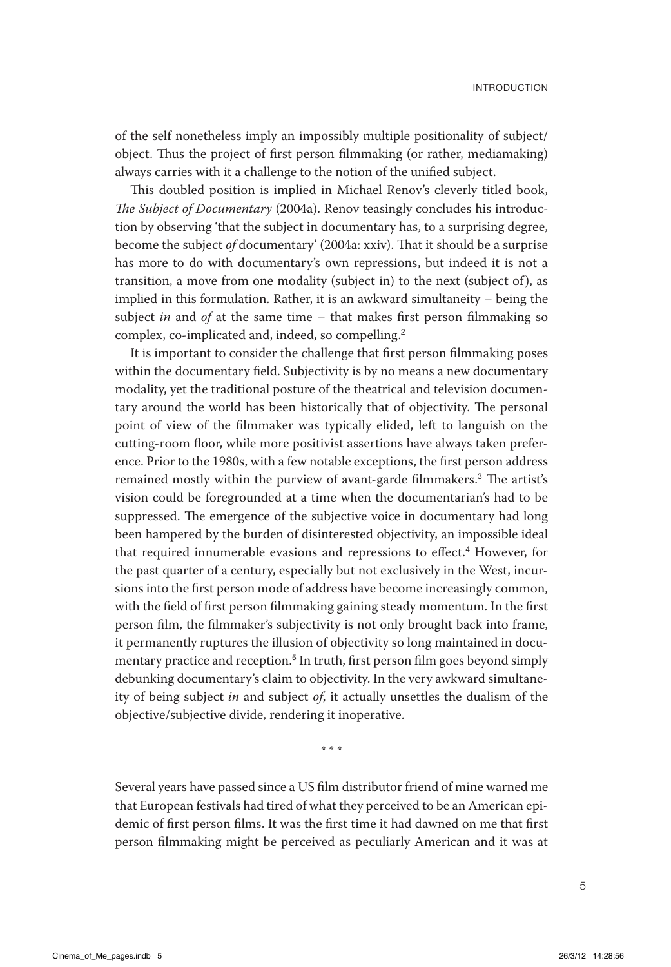of the self nonetheless imply an impossibly multiple positionality of subject/ object. Thus the project of first person filmmaking (or rather, mediamaking) always carries with it a challenge to the notion of the unified subject.

This doubled position is implied in Michael Renov's cleverly titled book, The Subject of Documentary (2004a). Renov teasingly concludes his introduction by observing 'that the subject in documentary has, to a surprising degree, become the subject of documentary' (2004a: xxiv). That it should be a surprise has more to do with documentary's own repressions, but indeed it is not a transition, a move from one modality (subject in) to the next (subject of), as implied in this formulation. Rather, it is an awkward simultaneity – being the subject in and of at the same time  $-$  that makes first person filmmaking so complex, co-implicated and, indeed, so compelling.<sup>2</sup>

It is important to consider the challenge that first person filmmaking poses within the documentary field. Subjectivity is by no means a new documentary modality, yet the traditional posture of the theatrical and television documentary around the world has been historically that of objectivity. The personal point of view of the filmmaker was typically elided, left to languish on the cutting-room floor, while more positivist assertions have always taken preference. Prior to the 1980s, with a few notable exceptions, the first person address remained mostly within the purview of avant-garde filmmakers.<sup>3</sup> The artist's vision could be foregrounded at a time when the documentarian's had to be suppressed. The emergence of the subjective voice in documentary had long been hampered by the burden of disinterested objectivity, an impossible ideal that required innumerable evasions and repressions to effect.<sup>4</sup> However, for the past quarter of a century, especially but not exclusively in the West, incursions into the first person mode of address have become increasingly common, with the field of first person filmmaking gaining steady momentum. In the first person film, the filmmaker's subjectivity is not only brought back into frame, it permanently ruptures the illusion of objectivity so long maintained in documentary practice and reception.<sup>5</sup> In truth, first person film goes beyond simply debunking documentary's claim to objectivity. In the very awkward simultaneity of being subject in and subject of, it actually unsettles the dualism of the objective/subjective divide, rendering it inoperative.

\* \* \*

Several years have passed since a US film distributor friend of mine warned me that European festivals had tired of what they perceived to be an American epidemic of first person films. It was the first time it had dawned on me that first person filmmaking might be perceived as peculiarly American and it was at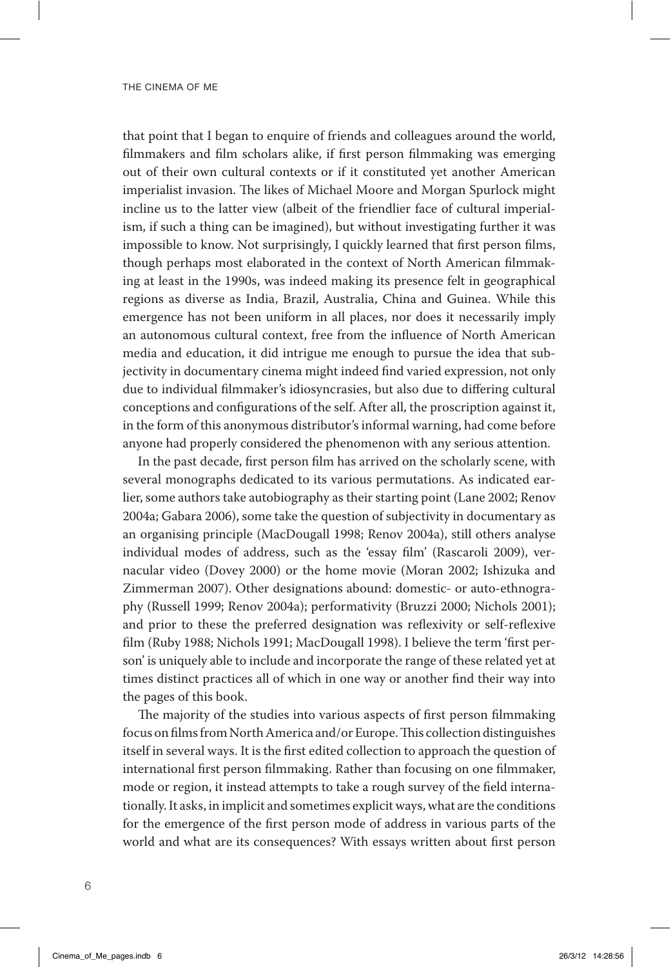that point that I began to enquire of friends and colleagues around the world, filmmakers and film scholars alike, if first person filmmaking was emerging out of their own cultural contexts or if it constituted yet another American imperialist invasion. The likes of Michael Moore and Morgan Spurlock might incline us to the latter view (albeit of the friendlier face of cultural imperialism, if such a thing can be imagined), but without investigating further it was impossible to know. Not surprisingly, I quickly learned that first person films, though perhaps most elaborated in the context of North American filmmaking at least in the 1990s, was indeed making its presence felt in geographical regions as diverse as India, Brazil, Australia, China and Guinea. While this emergence has not been uniform in all places, nor does it necessarily imply an autonomous cultural context, free from the influence of North American media and education, it did intrigue me enough to pursue the idea that subjectivity in documentary cinema might indeed find varied expression, not only due to individual filmmaker's idiosyncrasies, but also due to differing cultural conceptions and configurations of the self. After all, the proscription against it, in the form of this anonymous distributor's informal warning, had come before anyone had properly considered the phenomenon with any serious attention.

In the past decade, first person film has arrived on the scholarly scene, with several monographs dedicated to its various permutations. As indicated earlier, some authors take autobiography as their starting point (Lane 2002; Renov 2004a; Gabara 2006), some take the question of subjectivity in documentary as an organising principle (MacDougall 1998; Renov 2004a), still others analyse individual modes of address, such as the 'essay film' (Rascaroli 2009), vernacular video (Dovey 2000) or the home movie (Moran 2002; Ishizuka and Zimmerman 2007). Other designations abound: domestic- or auto-ethnography (Russell 1999; Renov 2004a); performativity (Bruzzi 2000; Nichols 2001); and prior to these the preferred designation was reflexivity or self-reflexive film (Ruby 1988; Nichols 1991; MacDougall 1998). I believe the term 'first person' is uniquely able to include and incorporate the range of these related yet at times distinct practices all of which in one way or another find their way into the pages of this book.

The majority of the studies into various aspects of first person filmmaking focus on films from North America and/or Europe. This collection distinguishes itself in several ways. It is the first edited collection to approach the question of international first person filmmaking. Rather than focusing on one filmmaker, mode or region, it instead attempts to take a rough survey of the field internationally. It asks, in implicit and sometimes explicit ways, what are the conditions for the emergence of the first person mode of address in various parts of the world and what are its consequences? With essays written about first person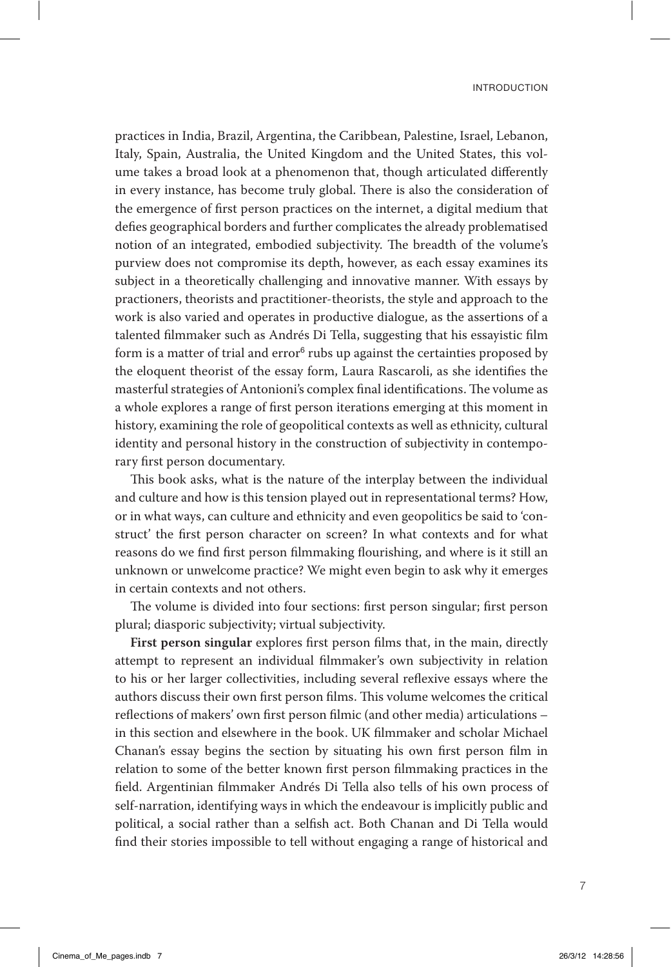practices in India, Brazil, Argentina, the Caribbean, Palestine, Israel, Lebanon, Italy, Spain, Australia, the United Kingdom and the United States, this volume takes a broad look at a phenomenon that, though articulated differently in every instance, has become truly global. There is also the consideration of the emergence of first person practices on the internet, a digital medium that defies geographical borders and further complicates the already problematised notion of an integrated, embodied subjectivity. The breadth of the volume's purview does not compromise its depth, however, as each essay examines its subject in a theoretically challenging and innovative manner. With essays by practioners, theorists and practitioner-theorists, the style and approach to the work is also varied and operates in productive dialogue, as the assertions of a talented filmmaker such as Andrés Di Tella, suggesting that his essayistic film form is a matter of trial and error<sup>6</sup> rubs up against the certainties proposed by the eloquent theorist of the essay form, Laura Rascaroli, as she identifies the masterful strategies of Antonioni's complex final identifications. The volume as a whole explores a range of first person iterations emerging at this moment in history, examining the role of geopolitical contexts as well as ethnicity, cultural identity and personal history in the construction of subjectivity in contemporary first person documentary.

This book asks, what is the nature of the interplay between the individual and culture and how is this tension played out in representational terms? How, or in what ways, can culture and ethnicity and even geopolitics be said to 'construct' the first person character on screen? In what contexts and for what reasons do we find first person filmmaking flourishing, and where is it still an unknown or unwelcome practice? We might even begin to ask why it emerges in certain contexts and not others.

The volume is divided into four sections: first person singular; first person plural; diasporic subjectivity; virtual subjectivity.

**First person singular** explores first person films that, in the main, directly attempt to represent an individual filmmaker's own subjectivity in relation to his or her larger collectivities, including several reflexive essays where the authors discuss their own first person films. This volume welcomes the critical reflections of makers' own first person filmic (and other media) articulations – in this section and elsewhere in the book. UK filmmaker and scholar Michael Chanan's essay begins the section by situating his own first person film in relation to some of the better known first person filmmaking practices in the field. Argentinian filmmaker Andrés Di Tella also tells of his own process of self-narration, identifying ways in which the endeavour is implicitly public and political, a social rather than a selfish act. Both Chanan and Di Tella would find their stories impossible to tell without engaging a range of historical and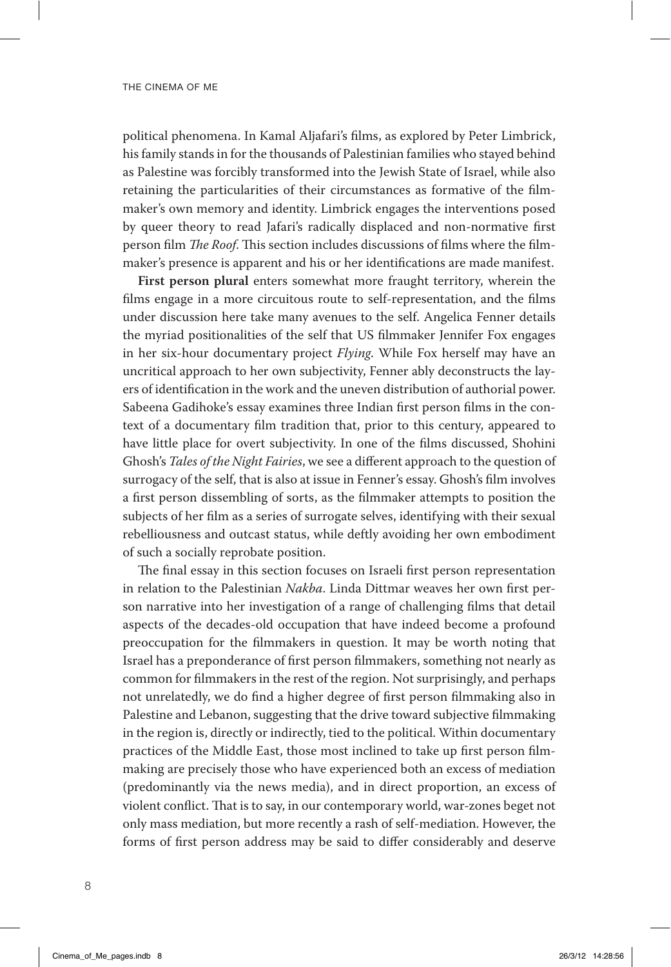political phenomena. In Kamal Aljafari's films, as explored by Peter Limbrick, his family stands in for the thousands of Palestinian families who stayed behind as Palestine was forcibly transformed into the Jewish State of Israel, while also retaining the particularities of their circumstances as formative of the filmmaker's own memory and identity. Limbrick engages the interventions posed by queer theory to read Jafari's radically displaced and non-normative first person film The Roof. This section includes discussions of films where the filmmaker's presence is apparent and his or her identifications are made manifest.

**First person plural** enters somewhat more fraught territory, wherein the films engage in a more circuitous route to self-representation, and the films under discussion here take many avenues to the self. Angelica Fenner details the myriad positionalities of the self that US filmmaker Jennifer Fox engages in her six-hour documentary project Flying. While Fox herself may have an uncritical approach to her own subjectivity, Fenner ably deconstructs the layers of identification in the work and the uneven distribution of authorial power. Sabeena Gadihoke's essay examines three Indian first person films in the context of a documentary film tradition that, prior to this century, appeared to have little place for overt subjectivity. In one of the films discussed, Shohini Ghosh's Tales of the Night Fairies, we see a different approach to the question of surrogacy of the self, that is also at issue in Fenner's essay. Ghosh's film involves a first person dissembling of sorts, as the filmmaker attempts to position the subjects of her film as a series of surrogate selves, identifying with their sexual rebelliousness and outcast status, while deftly avoiding her own embodiment of such a socially reprobate position.

The final essay in this section focuses on Israeli first person representation in relation to the Palestinian Nakba. Linda Dittmar weaves her own first person narrative into her investigation of a range of challenging films that detail aspects of the decades-old occupation that have indeed become a profound preoccupation for the filmmakers in question. It may be worth noting that Israel has a preponderance of first person filmmakers, something not nearly as common for filmmakers in the rest of the region. Not surprisingly, and perhaps not unrelatedly, we do find a higher degree of first person filmmaking also in Palestine and Lebanon, suggesting that the drive toward subjective filmmaking in the region is, directly or indirectly, tied to the political. Within documentary practices of the Middle East, those most inclined to take up first person filmmaking are precisely those who have experienced both an excess of mediation (predominantly via the news media), and in direct proportion, an excess of violent conflict. That is to say, in our contemporary world, war-zones beget not only mass mediation, but more recently a rash of self-mediation. However, the forms of first person address may be said to differ considerably and deserve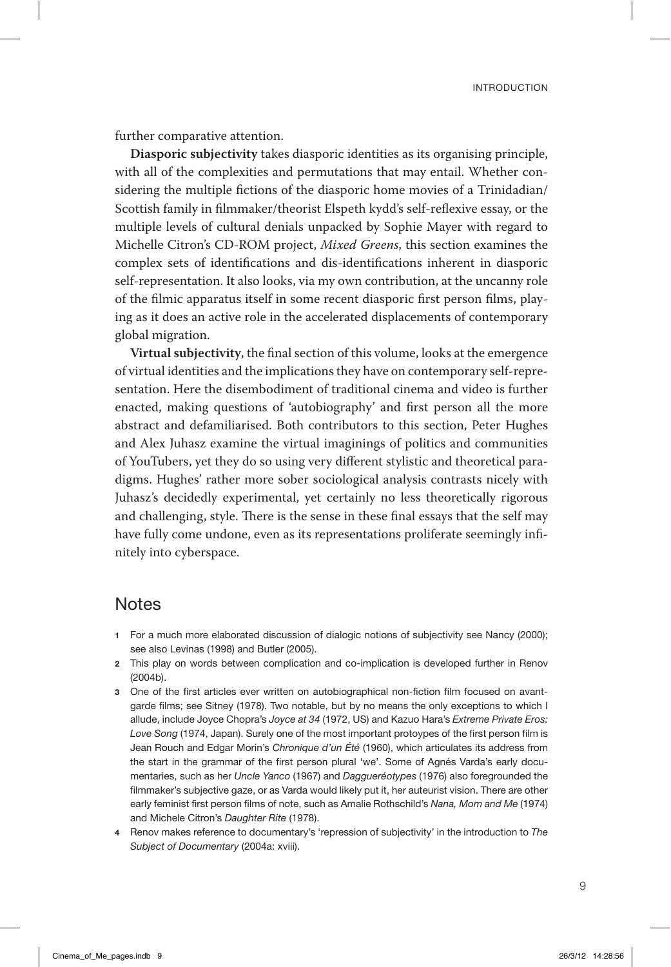further comparative attention.

**Diasporic subjectivity** takes diasporic identities as its organising principle, with all of the complexities and permutations that may entail. Whether considering the multiple fictions of the diasporic home movies of a Trinidadian/ Scottish family in filmmaker/theorist Elspeth kydd's self-reflexive essay, or the multiple levels of cultural denials unpacked by Sophie Mayer with regard to Michelle Citron's CD-ROM project, Mixed Greens, this section examines the complex sets of identifications and dis-identifications inherent in diasporic self-representation. It also looks, via my own contribution, at the uncanny role of the filmic apparatus itself in some recent diasporic first person films, playing as it does an active role in the accelerated displacements of contemporary global migration.

**Virtual subjectivity**, the final section of this volume, looks at the emergence of virtual identities and the implications they have on contemporary self-representation. Here the disembodiment of traditional cinema and video is further enacted, making questions of 'autobiography' and first person all the more abstract and defamiliarised. Both contributors to this section, Peter Hughes and Alex Juhasz examine the virtual imaginings of politics and communities of YouTubers, yet they do so using very different stylistic and theoretical paradigms. Hughes' rather more sober sociological analysis contrasts nicely with Juhasz's decidedly experimental, yet certainly no less theoretically rigorous and challenging, style. There is the sense in these final essays that the self may have fully come undone, even as its representations proliferate seemingly infinitely into cyberspace.

### **Notes**

- 1 For a much more elaborated discussion of dialogic notions of subjectivity see Nancy (2000); see also Levinas (1998) and Butler (2005).
- 2 This play on words between complication and co-implication is developed further in Renov (2004b).
- 3 One of the first articles ever written on autobiographical non-fiction film focused on avantgarde films; see Sitney (1978). Two notable, but by no means the only exceptions to which I allude, include Joyce Chopra's Joyce at 34 (1972, US) and Kazuo Hara's Extreme Private Eros: Love Song (1974, Japan). Surely one of the most important protoypes of the first person film is Jean Rouch and Edgar Morin's Chronique d'un Été (1960), which articulates its address from the start in the grammar of the first person plural 'we'. Some of Agnés Varda's early documentaries, such as her Uncle Yanco (1967) and Daggueréotypes (1976) also foregrounded the filmmaker's subjective gaze, or as Varda would likely put it, her auteurist vision. There are other early feminist first person films of note, such as Amalie Rothschild's Nana, Mom and Me (1974) and Michele Citron's Daughter Rite (1978).
- 4 Renov makes reference to documentary's 'repression of subjectivity' in the introduction to The Subject of Documentary (2004a: xviii).